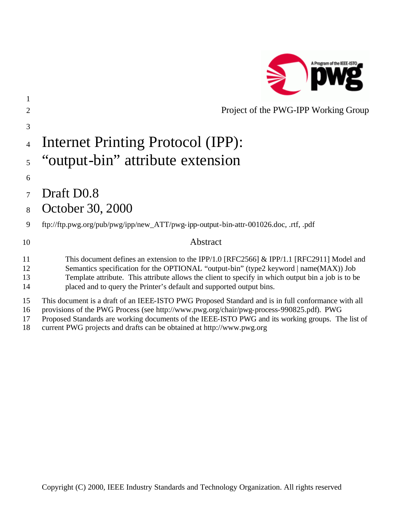

| $\mathbf{1}$   |                                                                                                    |
|----------------|----------------------------------------------------------------------------------------------------|
| $\overline{2}$ | Project of the PWG-IPP Working Group                                                               |
| 3              |                                                                                                    |
| $\overline{4}$ | <b>Internet Printing Protocol (IPP):</b>                                                           |
| 5              | "output-bin" attribute extension                                                                   |
| 6              |                                                                                                    |
|                | Draft D <sub>0.8</sub>                                                                             |
| 8              | October 30, 2000                                                                                   |
| 9              | ftp://ftp.pwg.org/pub/pwg/ipp/new_ATT/pwg-ipp-output-bin-attr-001026.doc, .rtf, .pdf               |
| 10             | Abstract                                                                                           |
| 11             | This document defines an extension to the IPP/1.0 [RFC2566] $&$ IPP/1.1 [RFC2911] Model and        |
| 12             | Semantics specification for the OPTIONAL "output-bin" (type2 keyword   name(MAX)) Job              |
| 13             | Template attribute. This attribute allows the client to specify in which output bin a job is to be |
| 14             | placed and to query the Printer's default and supported output bins.                               |
| 15             | This document is a draft of an IEEE-ISTO PWG Proposed Standard and is in full conformance with all |
| 16             | provisions of the PWG Process (see http://www.pwg.org/chair/pwg-process-990825.pdf). PWG           |
| 17             | Proposed Standards are working documents of the IEEE-ISTO PWG and its working groups. The list of  |
| 18             | current PWG projects and drafts can be obtained at http://www.pwg.org                              |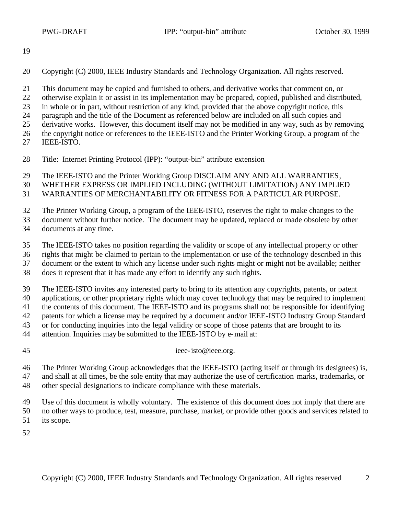Copyright (C) 2000, IEEE Industry Standards and Technology Organization. All rights reserved.

This document may be copied and furnished to others, and derivative works that comment on, or

otherwise explain it or assist in its implementation may be prepared, copied, published and distributed,

in whole or in part, without restriction of any kind, provided that the above copyright notice, this

paragraph and the title of the Document as referenced below are included on all such copies and

derivative works. However, this document itself may not be modified in any way, such as by removing

the copyright notice or references to the IEEE-ISTO and the Printer Working Group, a program of the

- IEEE-ISTO.
- Title: Internet Printing Protocol (IPP): "output-bin" attribute extension

The IEEE-ISTO and the Printer Working Group DISCLAIM ANY AND ALL WARRANTIES,

WHETHER EXPRESS OR IMPLIED INCLUDING (WITHOUT LIMITATION) ANY IMPLIED

WARRANTIES OF MERCHANTABILITY OR FITNESS FOR A PARTICULAR PURPOSE.

The Printer Working Group, a program of the IEEE-ISTO, reserves the right to make changes to the

document without further notice. The document may be updated, replaced or made obsolete by other

documents at any time.

The IEEE-ISTO takes no position regarding the validity or scope of any intellectual property or other

rights that might be claimed to pertain to the implementation or use of the technology described in this

document or the extent to which any license under such rights might or might not be available; neither

does it represent that it has made any effort to identify any such rights.

The IEEE-ISTO invites any interested party to bring to its attention any copyrights, patents, or patent

applications, or other proprietary rights which may cover technology that may be required to implement

the contents of this document. The IEEE-ISTO and its programs shall not be responsible for identifying

patents for which a license may be required by a document and/or IEEE-ISTO Industry Group Standard

- or for conducting inquiries into the legal validity or scope of those patents that are brought to its
- attention. Inquiries may be submitted to the IEEE-ISTO by e-mail at:
- 

45 ieee-isto@ieee.org.

The Printer Working Group acknowledges that the IEEE-ISTO (acting itself or through its designees) is,

and shall at all times, be the sole entity that may authorize the use of certification marks, trademarks, or

other special designations to indicate compliance with these materials.

Use of this document is wholly voluntary. The existence of this document does not imply that there are

no other ways to produce, test, measure, purchase, market, or provide other goods and services related to

its scope.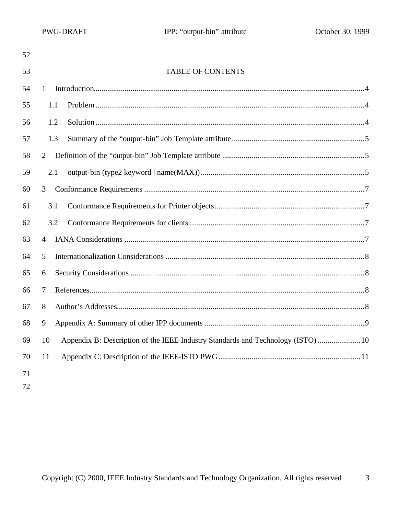| 52 |                                                                                       |  |
|----|---------------------------------------------------------------------------------------|--|
| 53 | <b>TABLE OF CONTENTS</b>                                                              |  |
| 54 | $\mathbf{1}$                                                                          |  |
| 55 | 1.1                                                                                   |  |
| 56 | 1.2                                                                                   |  |
| 57 | 1.3                                                                                   |  |
| 58 | 2                                                                                     |  |
| 59 | 2.1                                                                                   |  |
| 60 | 3                                                                                     |  |
| 61 | 3.1                                                                                   |  |
| 62 | 3.2                                                                                   |  |
| 63 | 4                                                                                     |  |
| 64 | 5                                                                                     |  |
| 65 | 6                                                                                     |  |
| 66 | 7                                                                                     |  |
| 67 | 8                                                                                     |  |
| 68 | 9                                                                                     |  |
| 69 | Appendix B: Description of the IEEE Industry Standards and Technology (ISTO) 10<br>10 |  |
| 70 | 11                                                                                    |  |
| 71 |                                                                                       |  |
|    |                                                                                       |  |

 $72\,$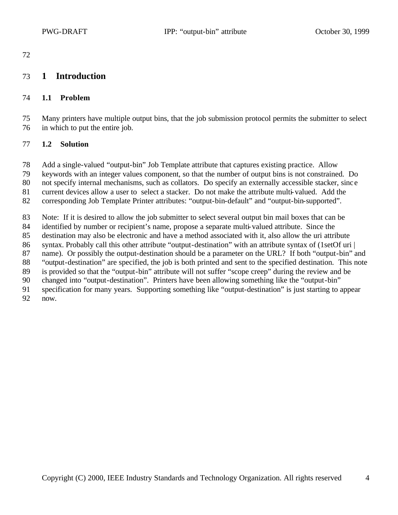## **1 Introduction**

### **1.1 Problem**

 Many printers have multiple output bins, that the job submission protocol permits the submitter to select in which to put the entire job.

#### **1.2 Solution**

Add a single-valued "output-bin" Job Template attribute that captures existing practice. Allow

keywords with an integer values component, so that the number of output bins is not constrained. Do

80 not specify internal mechanisms, such as collators. Do specify an externally accessible stacker, since

current devices allow a user to select a stacker. Do not make the attribute multi-valued. Add the

corresponding Job Template Printer attributes: "output-bin-default" and "output-bin-supported".

Note: If it is desired to allow the job submitter to select several output bin mail boxes that can be

identified by number or recipient's name, propose a separate multi-valued attribute. Since the

destination may also be electronic and have a method associated with it, also allow the uri attribute

syntax. Probably call this other attribute "output-destination" with an attribute syntax of (1setOf uri |

name). Or possibly the output-destination should be a parameter on the URL? If both "output-bin" and

 "output-destination" are specified, the job is both printed and sent to the specified destination. This note is provided so that the "output-bin" attribute will not suffer "scope creep" during the review and be

changed into "output-destination". Printers have been allowing something like the "output-bin"

specification for many years. Supporting something like "output-destination" is just starting to appear

now.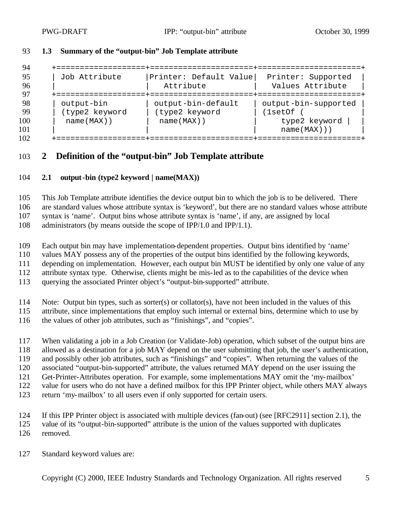#### **1.3 Summary of the "output-bin" Job Template attribute**

| -94  |                |                        |                      |
|------|----------------|------------------------|----------------------|
| -95  | Job Attribute  | Printer: Default Value | Printer: Supported   |
| -96  |                | Attribute              | Values Attribute     |
| -97  |                |                        |                      |
| -98  | output-bin     | output-bin-default     | output-bin-supported |
| - 99 | (type2 keyword | (type2 keyword         | (lsetOf              |
| 100  | $name(MAX)$ )  | $name(MAX)$ )          | type2 keyword        |
| 101  |                |                        | name(MAX))           |
| 102  |                |                        |                      |

### **2 Definition of the "output-bin" Job Template attribute**

#### **2.1 output-bin (type2 keyword | name(MAX))**

This Job Template attribute identifies the device output bin to which the job is to be delivered. There

are standard values whose attribute syntax is 'keyword', but there are no standard values whose attribute

syntax is 'name'. Output bins whose attribute syntax is 'name', if any, are assigned by local

administrators (by means outside the scope of IPP/1.0 and IPP/1.1).

Each output bin may have implementation-dependent properties. Output bins identified by 'name'

values MAY possess any of the properties of the output bins identified by the following keywords,

depending on implementation. However, each output bin MUST be identified by only one value of any

attribute syntax type. Otherwise, clients might be mis-led as to the capabilities of the device when

querying the associated Printer object's "output-bin-supported" attribute.

Note: Output bin types, such as sorter(s) or collator(s), have not been included in the values of this

attribute, since implementations that employ such internal or external bins, determine which to use by

the values of other job attributes, such as "finishings", and "copies".

When validating a job in a Job Creation (or Validate-Job) operation, which subset of the output bins are

allowed as a destination for a job MAY depend on the user submitting that job, the user's authentication,

 and possibly other job attributes, such as "finishings" and "copies". When returning the values of the associated "output-bin-supported" attribute, the values returned MAY depend on the user issuing the

Get-Printer-Attributes operation. For example, some implementations MAY omit the 'my-mailbox'

value for users who do not have a defined mailbox for this IPP Printer object, while others MAY always

- return 'my-mailbox' to all users even if only supported for certain users.
- If this IPP Printer object is associated with multiple devices (fan-out) (see [RFC2911] section 2.1), the
- value of its "output-bin-supported" attribute is the union of the values supported with duplicates removed.
- Standard keyword values are: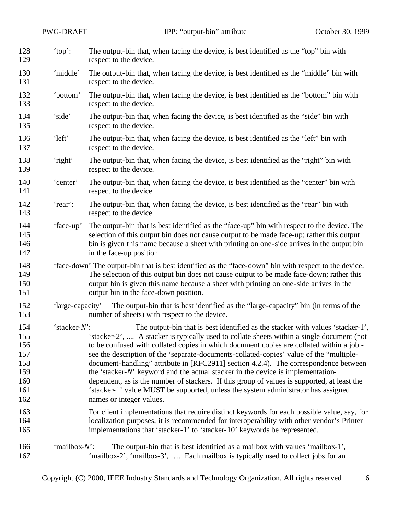|                                                             | PWG-DRAFT        | IPP: "output-bin" attribute                                                                                                                                                                                                                                                                                                                                                                                                                                                                                                                                                                                                                                                                                                                                       | October 30, 1999 |
|-------------------------------------------------------------|------------------|-------------------------------------------------------------------------------------------------------------------------------------------------------------------------------------------------------------------------------------------------------------------------------------------------------------------------------------------------------------------------------------------------------------------------------------------------------------------------------------------------------------------------------------------------------------------------------------------------------------------------------------------------------------------------------------------------------------------------------------------------------------------|------------------|
| 128<br>129                                                  | 'top':           | The output-bin that, when facing the device, is best identified as the "top" bin with<br>respect to the device.                                                                                                                                                                                                                                                                                                                                                                                                                                                                                                                                                                                                                                                   |                  |
| 130<br>131                                                  | 'middle'         | The output-bin that, when facing the device, is best identified as the "middle" bin with<br>respect to the device.                                                                                                                                                                                                                                                                                                                                                                                                                                                                                                                                                                                                                                                |                  |
| 132<br>133                                                  | 'bottom'         | The output-bin that, when facing the device, is best identified as the "bottom" bin with<br>respect to the device.                                                                                                                                                                                                                                                                                                                                                                                                                                                                                                                                                                                                                                                |                  |
| 134<br>135                                                  | 'side'           | The output-bin that, when facing the device, is best identified as the "side" bin with<br>respect to the device.                                                                                                                                                                                                                                                                                                                                                                                                                                                                                                                                                                                                                                                  |                  |
| 136<br>137                                                  | 'left'           | The output-bin that, when facing the device, is best identified as the "left" bin with<br>respect to the device.                                                                                                                                                                                                                                                                                                                                                                                                                                                                                                                                                                                                                                                  |                  |
| 138<br>139                                                  | 'right'          | The output-bin that, when facing the device, is best identified as the "right" bin with<br>respect to the device.                                                                                                                                                                                                                                                                                                                                                                                                                                                                                                                                                                                                                                                 |                  |
| 140<br>141                                                  | 'center'         | The output-bin that, when facing the device, is best identified as the "center" bin with<br>respect to the device.                                                                                                                                                                                                                                                                                                                                                                                                                                                                                                                                                                                                                                                |                  |
| 142<br>143                                                  | 'rear':          | The output-bin that, when facing the device, is best identified as the "rear" bin with<br>respect to the device.                                                                                                                                                                                                                                                                                                                                                                                                                                                                                                                                                                                                                                                  |                  |
| 144<br>145<br>146<br>147                                    | 'face-up'        | The output-bin that is best identified as the "face-up" bin with respect to the device. The<br>selection of this output bin does not cause output to be made face-up; rather this output<br>bin is given this name because a sheet with printing on one-side arrives in the output bin<br>in the face-up position.                                                                                                                                                                                                                                                                                                                                                                                                                                                |                  |
| 148<br>149<br>150<br>151                                    |                  | 'face-down' The output-bin that is best identified as the "face-down" bin with respect to the device.<br>The selection of this output bin does not cause output to be made face-down; rather this<br>output bin is given this name because a sheet with printing on one-side arrives in the<br>output bin in the face-down position.                                                                                                                                                                                                                                                                                                                                                                                                                              |                  |
| 152<br>153                                                  | 'large-capacity' | The output-bin that is best identified as the "large-capacity" bin (in terms of the<br>number of sheets) with respect to the device.                                                                                                                                                                                                                                                                                                                                                                                                                                                                                                                                                                                                                              |                  |
| 154<br>155<br>156<br>157<br>158<br>159<br>160<br>161<br>162 | 'stacker- $N$ :  | The output-bin that is best identified as the stacker with values 'stacker-1',<br>'stacker-2',  A stacker is typically used to collate sheets within a single document (not<br>to be confused with collated copies in which document copies are collated within a job -<br>see the description of the 'separate-documents-collated-copies' value of the "multiple-<br>document-handling" attribute in [RFC2911] section 4.2.4). The correspondence between<br>the 'stacker- $N$ ' keyword and the actual stacker in the device is implementation-<br>dependent, as is the number of stackers. If this group of values is supported, at least the<br>'stacker-1' value MUST be supported, unless the system administrator has assigned<br>names or integer values. |                  |
| 163<br>164<br>165                                           |                  | For client implementations that require distinct keywords for each possible value, say, for<br>localization purposes, it is recommended for interoperability with other vendor's Printer<br>implementations that 'stacker-1' to 'stacker-10' keywords be represented.                                                                                                                                                                                                                                                                                                                                                                                                                                                                                             |                  |
| 166<br>167                                                  | 'mailbox- $N$ :  | The output-bin that is best identified as a mailbox with values 'mailbox-1',<br>'mailbox-2', 'mailbox-3',  Each mailbox is typically used to collect jobs for an                                                                                                                                                                                                                                                                                                                                                                                                                                                                                                                                                                                                  |                  |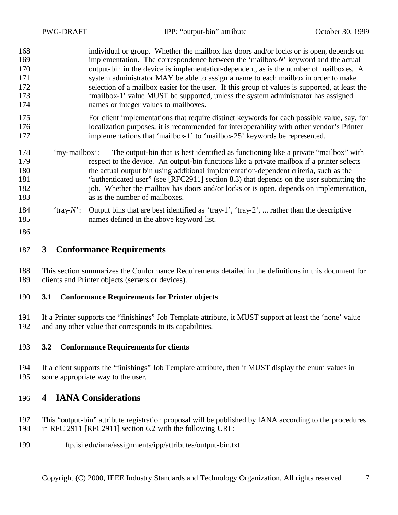|                                               | PWG-DRAFT     | IPP: "output-bin" attribute                                                                                                                                                                                                                                                                                                                                                                                                                                                                                                                                                                     | October 30, 1999 |
|-----------------------------------------------|---------------|-------------------------------------------------------------------------------------------------------------------------------------------------------------------------------------------------------------------------------------------------------------------------------------------------------------------------------------------------------------------------------------------------------------------------------------------------------------------------------------------------------------------------------------------------------------------------------------------------|------------------|
| 168<br>169<br>170<br>171<br>172<br>173<br>174 |               | individual or group. Whether the mailbox has doors and/or locks or is open, depends on<br>implementation. The correspondence between the 'mailbox- $N$ ' keyword and the actual<br>output-bin in the device is implementation-dependent, as is the number of mailboxes. A<br>system administrator MAY be able to assign a name to each mailbox in order to make<br>selection of a mailbox easier for the user. If this group of values is supported, at least the<br>'mailbox-1' value MUST be supported, unless the system administrator has assigned<br>names or integer values to mailboxes. |                  |
| 175<br>176<br>177                             |               | For client implementations that require distinct keywords for each possible value, say, for<br>localization purposes, it is recommended for interoperability with other vendor's Printer<br>implementations that 'mailbox-1' to 'mailbox-25' keywords be represented.                                                                                                                                                                                                                                                                                                                           |                  |
| 178<br>179<br>180<br>181<br>182<br>183        | 'my-mailbox': | The output-bin that is best identified as functioning like a private "mailbox" with<br>respect to the device. An output-bin functions like a private mailbox if a printer selects<br>the actual output bin using additional implementation-dependent criteria, such as the<br>"authenticated user" (see [RFC2911] section 8.3) that depends on the user submitting the<br>job. Whether the mailbox has doors and/or locks or is open, depends on implementation,<br>as is the number of mailboxes.                                                                                              |                  |
| 184<br>185<br>186                             | 'tray- $N$ ': | Output bins that are best identified as 'tray-1', 'tray-2',  rather than the descriptive<br>names defined in the above keyword list.                                                                                                                                                                                                                                                                                                                                                                                                                                                            |                  |

## **3 Conformance Requirements**

 This section summarizes the Conformance Requirements detailed in the definitions in this document for clients and Printer objects (servers or devices).

### **3.1 Conformance Requirements for Printer objects**

 If a Printer supports the "finishings" Job Template attribute, it MUST support at least the 'none' value and any other value that corresponds to its capabilities.

### **3.2 Conformance Requirements for clients**

 If a client supports the "finishings" Job Template attribute, then it MUST display the enum values in some appropriate way to the user.

# **4 IANA Considerations**

- This "output-bin" attribute registration proposal will be published by IANA according to the procedures in RFC 2911 [RFC2911] section 6.2 with the following URL:
- ftp.isi.edu/iana/assignments/ipp/attributes/output-bin.txt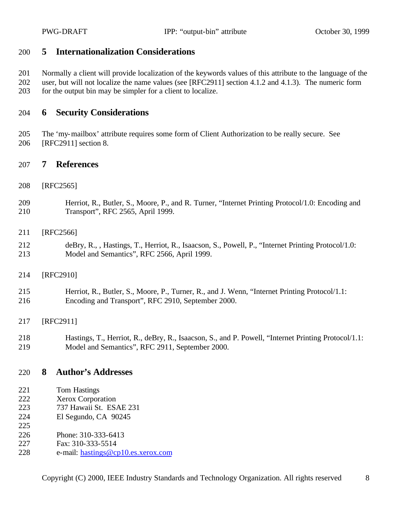### **5 Internationalization Considerations**

Normally a client will provide localization of the keywords values of this attribute to the language of the

 user, but will not localize the name values (see [RFC2911] section 4.1.2 and 4.1.3). The numeric form for the output bin may be simpler for a client to localize.

## **6 Security Considerations**

 The 'my-mailbox' attribute requires some form of Client Authorization to be really secure. See [RFC2911] section 8.

### **7 References**

- [RFC2565]
- Herriot, R., Butler, S., Moore, P., and R. Turner, "Internet Printing Protocol/1.0: Encoding and Transport", RFC 2565, April 1999.
- [RFC2566]
- deBry, R., , Hastings, T., Herriot, R., Isaacson, S., Powell, P., "Internet Printing Protocol/1.0: Model and Semantics", RFC 2566, April 1999.
- [RFC2910]
- Herriot, R., Butler, S., Moore, P., Turner, R., and J. Wenn, "Internet Printing Protocol/1.1: Encoding and Transport", RFC 2910, September 2000.
- [RFC2911]
- Hastings, T., Herriot, R., deBry, R., Isaacson, S., and P. Powell, "Internet Printing Protocol/1.1: Model and Semantics", RFC 2911, September 2000.

### **8 Author's Addresses**

- Tom Hastings
- Xerox Corporation
- 737 Hawaii St. ESAE 231
- El Segundo, CA 90245
- Phone: 310-333-6413
- Fax: 310-333-5514
- e-mail: hastings@cp10.es.xerox.com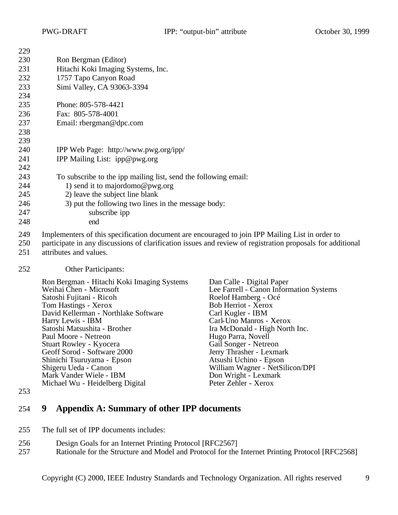| 229 |                                                                                                            |
|-----|------------------------------------------------------------------------------------------------------------|
| 230 | Ron Bergman (Editor)                                                                                       |
| 231 | Hitachi Koki Imaging Systems, Inc.                                                                         |
| 232 | 1757 Tapo Canyon Road                                                                                      |
| 233 | Simi Valley, CA 93063-3394                                                                                 |
| 234 |                                                                                                            |
| 235 | Phone: 805-578-4421                                                                                        |
| 236 | Fax: 805-578-4001                                                                                          |
| 237 | Email: rbergman@dpc.com                                                                                    |
| 238 |                                                                                                            |
| 239 |                                                                                                            |
| 240 | IPP Web Page: http://www.pwg.org/ipp/                                                                      |
| 241 | IPP Mailing List: ipp@pwg.org                                                                              |
| 242 |                                                                                                            |
| 243 | To subscribe to the ipp mailing list, send the following email:                                            |
| 244 | 1) send it to majordomo@pwg.org                                                                            |
| 245 | 2) leave the subject line blank                                                                            |
| 246 | 3) put the following two lines in the message body:                                                        |
| 247 | subscribe ipp                                                                                              |
| 248 | end                                                                                                        |
| 249 | Implementers of this specification document are encouraged to join IPP Mailing List in order to            |
| 250 | participate in any discussions of clarification issues and review of registration proposals for additional |
| 251 | attributes and values.                                                                                     |
|     |                                                                                                            |
|     |                                                                                                            |

Other Participants:

| Ron Bergman - Hitachi Koki Imaging Systems | Dan Calle - Digital Paper               |
|--------------------------------------------|-----------------------------------------|
| Weihai Chen - Microsoft                    | Lee Farrell - Canon Information Systems |
| Satoshi Fujitani - Ricoh                   | Roelof Hamberg - Océ                    |
| Tom Hastings - Xerox                       | Bob Herriot - Xerox                     |
| David Kellerman - Northlake Software       | Carl Kugler - IBM                       |
| Harry Lewis - IBM                          | Carl-Uno Manros - Xerox                 |
| Satoshi Matsushita - Brother               | Ira McDonald - High North Inc.          |
| Paul Moore - Netreon                       | Hugo Parra, Novell                      |
| Stuart Rowley - Kyocera                    | Gail Songer - Netreon                   |
| Geoff Sorod - Software 2000                | Jerry Thrasher - Lexmark                |
| Shinichi Tsuruyama - Epson                 | Atsushi Uchino - Epson                  |
| Shigeru Ueda - Canon                       | William Wagner - NetSilicon/DPI         |
| Mark Vander Wiele - IBM                    | Don Wright - Lexmark                    |
| Michael Wu - Heidelberg Digital            | Peter Zehler - Xerox                    |
|                                            |                                         |

# **9 Appendix A: Summary of other IPP documents**

- The full set of IPP documents includes:
- Design Goals for an Internet Printing Protocol [RFC2567]
- Rationale for the Structure and Model and Protocol for the Internet Printing Protocol [RFC2568]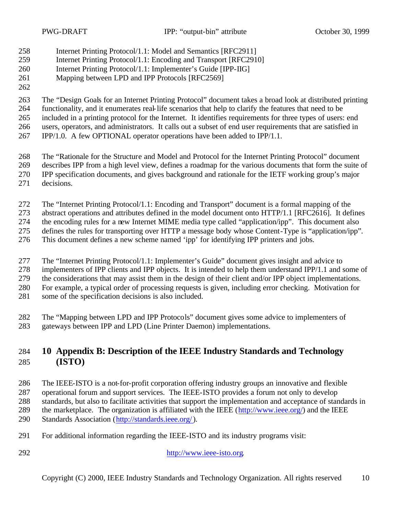- Internet Printing Protocol/1.1: Model and Semantics [RFC2911]
- Internet Printing Protocol/1.1: Encoding and Transport [RFC2910]
- Internet Printing Protocol/1.1: Implementer's Guide [IPP-IIG]
- Mapping between LPD and IPP Protocols [RFC2569]
- 

 The "Design Goals for an Internet Printing Protocol" document takes a broad look at distributed printing functionality, and it enumerates real-life scenarios that help to clarify the features that need to be included in a printing protocol for the Internet. It identifies requirements for three types of users: end users, operators, and administrators. It calls out a subset of end user requirements that are satisfied in

IPP/1.0. A few OPTIONAL operator operations have been added to IPP/1.1.

 The "Rationale for the Structure and Model and Protocol for the Internet Printing Protocol" document describes IPP from a high level view, defines a roadmap for the various documents that form the suite of IPP specification documents, and gives background and rationale for the IETF working group's major decisions.

The "Internet Printing Protocol/1.1: Encoding and Transport" document is a formal mapping of the

abstract operations and attributes defined in the model document onto HTTP/1.1 [RFC2616]. It defines

the encoding rules for a new Internet MIME media type called "application/ipp". This document also

defines the rules for transporting over HTTP a message body whose Content-Type is "application/ipp".

This document defines a new scheme named 'ipp' for identifying IPP printers and jobs.

The "Internet Printing Protocol/1.1: Implementer's Guide" document gives insight and advice to

 implementers of IPP clients and IPP objects. It is intended to help them understand IPP/1.1 and some of the considerations that may assist them in the design of their client and/or IPP object implementations.

For example, a typical order of processing requests is given, including error checking. Motivation for

some of the specification decisions is also included.

 The "Mapping between LPD and IPP Protocols" document gives some advice to implementers of gateways between IPP and LPD (Line Printer Daemon) implementations.

# **10 Appendix B: Description of the IEEE Industry Standards and Technology (ISTO)**

The IEEE-ISTO is a not-for-profit corporation offering industry groups an innovative and flexible

operational forum and support services. The IEEE-ISTO provides a forum not only to develop

standards, but also to facilitate activities that support the implementation and acceptance of standards in

- 289 the marketplace. The organization is affiliated with the IEEE (http://www.ieee.org/) and the IEEE
- Standards Association (http://standards.ieee.org/).
- For additional information regarding the IEEE-ISTO and its industry programs visit:
- http://www.ieee-isto.org.